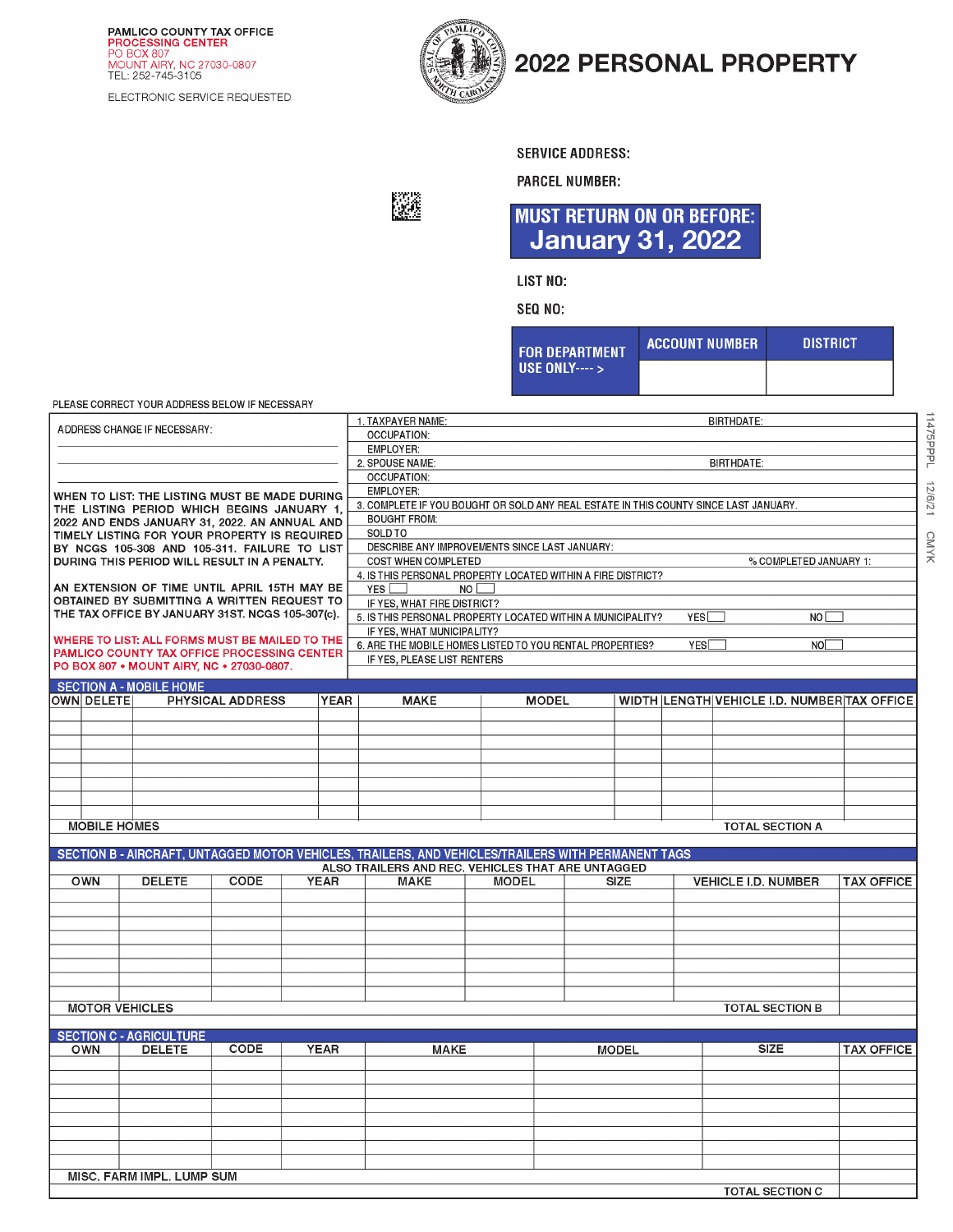**PAMLICO COUNTY TAX OFFICE<br>PROCESSING CENTER**<br>PO BOX 807<br>MOUNT AIRY, NC 27030-0807<br>TEL: 252-745-3105

ELECTRONIC SERVICE REQUESTED



飂

## 2022 PERSONAL PROPERTY

**SERVICE ADDRESS:** 

**PARCEL NUMBER:** 

**MUST RETURN ON OR BEFORE: January 31, 2022** 

**LIST NO:** 

SEQ NO:

| <b>FOR DEPARTMENT</b> | <b>ACCOUNT NUMBER</b> | <b>DISTRICT</b> |  |  |  |
|-----------------------|-----------------------|-----------------|--|--|--|
| USE ONLY---- $>$      |                       |                 |  |  |  |

**TOTAL SECTION C** 

PLEASE CORRECT YOUR ADDRESS BELOW IF NECESSARY

| ADDRESS CHANGE IF NECESSARY:                  |                                                                                             |                  |  |             | 1. TAXPAYER NAME:<br><b>BIRTHDATE:</b>            |                                                                                                    |              |             |  |              |  |                            |                        |                                             |  |
|-----------------------------------------------|---------------------------------------------------------------------------------------------|------------------|--|-------------|---------------------------------------------------|----------------------------------------------------------------------------------------------------|--------------|-------------|--|--------------|--|----------------------------|------------------------|---------------------------------------------|--|
|                                               |                                                                                             |                  |  |             |                                                   | <b>OCCUPATION:</b>                                                                                 |              |             |  |              |  |                            |                        |                                             |  |
|                                               |                                                                                             |                  |  |             |                                                   | EMPLOYER:<br>2. SPOUSE NAME:<br><b>BIRTHDATE:</b>                                                  |              |             |  |              |  |                            |                        |                                             |  |
|                                               |                                                                                             |                  |  |             |                                                   |                                                                                                    |              |             |  |              |  |                            |                        |                                             |  |
|                                               |                                                                                             |                  |  |             |                                                   | <b>OCCUPATION:</b>                                                                                 |              |             |  |              |  |                            |                        |                                             |  |
| WHEN TO LIST: THE LISTING MUST BE MADE DURING |                                                                                             |                  |  |             |                                                   | <b>EMPLOYER:</b>                                                                                   |              |             |  |              |  |                            |                        |                                             |  |
|                                               | THE LISTING PERIOD WHICH BEGINS JANUARY 1,                                                  |                  |  |             |                                                   | 3. COMPLETE IF YOU BOUGHT OR SOLD ANY REAL ESTATE IN THIS COUNTY SINCE LAST JANUARY.               |              |             |  |              |  |                            |                        |                                             |  |
| 2022 AND ENDS JANUARY 31, 2022. AN ANNUAL AND |                                                                                             |                  |  |             |                                                   | <b>BOUGHT FROM:</b>                                                                                |              |             |  |              |  |                            |                        |                                             |  |
|                                               | TIMELY LISTING FOR YOUR PROPERTY IS REQUIRED                                                |                  |  |             |                                                   | SOLD TO                                                                                            |              |             |  |              |  |                            |                        |                                             |  |
|                                               | BY NCGS 105-308 AND 105-311. FAILURE TO LIST                                                |                  |  |             |                                                   | DESCRIBE ANY IMPROVEMENTS SINCE LAST JANUARY:                                                      |              |             |  |              |  |                            |                        |                                             |  |
|                                               | DURING THIS PERIOD WILL RESULT IN A PENALTY.                                                |                  |  |             |                                                   | COST WHEN COMPLETED                                                                                |              |             |  |              |  |                            | % COMPLETED JANUARY 1: |                                             |  |
|                                               |                                                                                             |                  |  |             |                                                   | 4. IS THIS PERSONAL PROPERTY LOCATED WITHIN A FIRE DISTRICT?                                       |              |             |  |              |  |                            |                        |                                             |  |
|                                               | AN EXTENSION OF TIME UNTIL APRIL 15TH MAY BE<br>OBTAINED BY SUBMITTING A WRITTEN REQUEST TO |                  |  |             |                                                   | YES<br>NO                                                                                          |              |             |  |              |  |                            |                        |                                             |  |
|                                               | THE TAX OFFICE BY JANUARY 31ST. NCGS 105-307(c).                                            |                  |  |             |                                                   | IF YES, WHAT FIRE DISTRICT?                                                                        |              |             |  |              |  |                            |                        |                                             |  |
|                                               |                                                                                             |                  |  |             |                                                   | 5. IS THIS PERSONAL PROPERTY LOCATED WITHIN A MUNICIPALITY?<br>YES <sup>[</sup><br>NO I            |              |             |  |              |  |                            |                        |                                             |  |
|                                               | WHERE TO LIST: ALL FORMS MUST BE MAILED TO THE                                              |                  |  |             |                                                   | IF YES, WHAT MUNICIPALITY?                                                                         |              |             |  |              |  |                            |                        |                                             |  |
|                                               | <b>PAMLICO COUNTY TAX OFFICE PROCESSING CENTER</b>                                          |                  |  |             |                                                   | 6. ARE THE MOBILE HOMES LISTED TO YOU RENTAL PROPERTIES?<br>YES <sup>[</sup><br>NO <sub>[</sub>    |              |             |  |              |  |                            |                        |                                             |  |
|                                               | PO BOX 807 • MOUNT AIRY, NC • 27030-0807.                                                   |                  |  |             |                                                   | IF YES, PLEASE LIST RENTERS                                                                        |              |             |  |              |  |                            |                        |                                             |  |
| <b>SECTION A - MOBILE HOME</b>                |                                                                                             |                  |  |             |                                                   |                                                                                                    |              |             |  |              |  |                            |                        |                                             |  |
| OWN DELETE                                    |                                                                                             | PHYSICAL ADDRESS |  | <b>YEAR</b> |                                                   | <b>MAKE</b>                                                                                        | <b>MODEL</b> |             |  |              |  |                            |                        | WIDTH LENGTH VEHICLE I.D. NUMBER TAX OFFICE |  |
|                                               |                                                                                             |                  |  |             |                                                   |                                                                                                    |              |             |  |              |  |                            |                        |                                             |  |
|                                               |                                                                                             |                  |  |             |                                                   |                                                                                                    |              |             |  |              |  |                            |                        |                                             |  |
|                                               |                                                                                             |                  |  |             |                                                   |                                                                                                    |              |             |  |              |  |                            |                        |                                             |  |
|                                               |                                                                                             |                  |  |             |                                                   |                                                                                                    |              |             |  |              |  |                            |                        |                                             |  |
|                                               |                                                                                             |                  |  |             |                                                   |                                                                                                    |              |             |  |              |  |                            |                        |                                             |  |
|                                               |                                                                                             |                  |  |             |                                                   |                                                                                                    |              |             |  |              |  |                            |                        |                                             |  |
|                                               |                                                                                             |                  |  |             |                                                   |                                                                                                    |              |             |  |              |  |                            |                        |                                             |  |
|                                               |                                                                                             |                  |  |             |                                                   |                                                                                                    |              |             |  |              |  |                            |                        |                                             |  |
| <b>MOBILE HOMES</b>                           |                                                                                             |                  |  |             |                                                   |                                                                                                    |              |             |  |              |  | <b>TOTAL SECTION A</b>     |                        |                                             |  |
|                                               |                                                                                             |                  |  |             |                                                   |                                                                                                    |              |             |  |              |  |                            |                        |                                             |  |
|                                               |                                                                                             |                  |  |             |                                                   | SECTION B - AIRCRAFT, UNTAGGED MOTOR VEHICLES, TRAILERS, AND VEHICLES/TRAILERS WITH PERMANENT TAGS |              |             |  |              |  |                            |                        |                                             |  |
|                                               |                                                                                             |                  |  |             | ALSO TRAILERS AND REC. VEHICLES THAT ARE UNTAGGED |                                                                                                    |              | <b>SIZE</b> |  |              |  |                            |                        |                                             |  |
| <b>OWN</b>                                    | <b>DELETE</b>                                                                               | CODE             |  | <b>YEAR</b> | <b>MAKE</b>                                       |                                                                                                    | <b>MODEL</b> |             |  |              |  | <b>VEHICLE I.D. NUMBER</b> |                        | <b>TAX OFFICE</b>                           |  |
|                                               |                                                                                             |                  |  |             |                                                   |                                                                                                    |              |             |  |              |  |                            |                        |                                             |  |
|                                               |                                                                                             |                  |  |             |                                                   |                                                                                                    |              |             |  |              |  |                            |                        |                                             |  |
|                                               |                                                                                             |                  |  |             |                                                   |                                                                                                    |              |             |  |              |  |                            |                        |                                             |  |
|                                               |                                                                                             |                  |  |             |                                                   |                                                                                                    |              |             |  |              |  |                            |                        |                                             |  |
|                                               |                                                                                             |                  |  |             |                                                   |                                                                                                    |              |             |  |              |  |                            |                        |                                             |  |
|                                               |                                                                                             |                  |  |             |                                                   |                                                                                                    |              |             |  |              |  |                            |                        |                                             |  |
|                                               |                                                                                             |                  |  |             |                                                   |                                                                                                    |              |             |  |              |  |                            |                        |                                             |  |
|                                               |                                                                                             |                  |  |             |                                                   |                                                                                                    |              |             |  |              |  |                            |                        |                                             |  |
| <b>MOTOR VEHICLES</b>                         |                                                                                             |                  |  |             |                                                   |                                                                                                    |              |             |  |              |  | <b>TOTAL SECTION B</b>     |                        |                                             |  |
|                                               |                                                                                             |                  |  |             |                                                   |                                                                                                    |              |             |  |              |  |                            |                        |                                             |  |
|                                               | <b>SECTION C - AGRICULTURE</b>                                                              |                  |  |             |                                                   |                                                                                                    |              |             |  |              |  | <b>SIZE</b>                |                        |                                             |  |
| <b>OWN</b>                                    | <b>DELETE</b>                                                                               | CODE             |  | <b>YEAR</b> |                                                   | <b>MAKE</b>                                                                                        |              |             |  | <b>MODEL</b> |  |                            |                        | <b>TAX OFFICE</b>                           |  |
|                                               |                                                                                             |                  |  |             |                                                   |                                                                                                    |              |             |  |              |  |                            |                        |                                             |  |
|                                               |                                                                                             |                  |  |             |                                                   |                                                                                                    |              |             |  |              |  |                            |                        |                                             |  |
|                                               |                                                                                             |                  |  |             |                                                   |                                                                                                    |              |             |  |              |  |                            |                        |                                             |  |
|                                               |                                                                                             |                  |  |             |                                                   |                                                                                                    |              |             |  |              |  |                            |                        |                                             |  |
|                                               |                                                                                             |                  |  |             |                                                   |                                                                                                    |              |             |  |              |  |                            |                        |                                             |  |
|                                               |                                                                                             |                  |  |             |                                                   |                                                                                                    |              |             |  |              |  |                            |                        |                                             |  |
|                                               |                                                                                             |                  |  |             |                                                   |                                                                                                    |              |             |  |              |  |                            |                        |                                             |  |
|                                               |                                                                                             |                  |  |             |                                                   |                                                                                                    |              |             |  |              |  |                            |                        |                                             |  |
|                                               | MISC, FARM IMPL, LUMP SUM                                                                   |                  |  |             |                                                   |                                                                                                    |              |             |  |              |  |                            |                        |                                             |  |